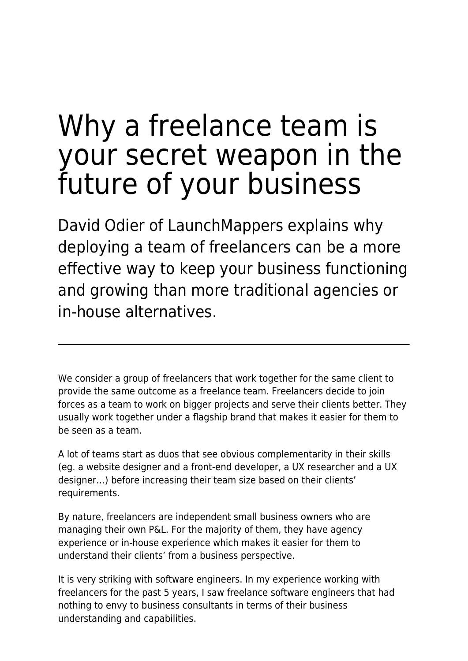# Why a freelance team is your secret weapon in the future of your business

David Odier of LaunchMappers explains why deploying a team of freelancers can be a more effective way to keep your business functioning and growing than more traditional agencies or in-house alternatives.

We consider a group of freelancers that work together for the same client to provide the same outcome as a freelance team. Freelancers decide to join forces as a team to work on bigger projects and serve their clients better. They usually work together under a flagship brand that makes it easier for them to be seen as a team.

A lot of teams start as duos that see obvious complementarity in their skills (eg. a website designer and a front-end developer, a UX researcher and a UX designer…) before increasing their team size based on their clients' requirements.

By nature, freelancers are independent small business owners who are managing their own P&L. For the majority of them, they have agency experience or in-house experience which makes it easier for them to understand their clients' from a business perspective.

It is very striking with software engineers. In my experience working with freelancers for the past 5 years, I saw freelance software engineers that had nothing to envy to business consultants in terms of their business understanding and capabilities.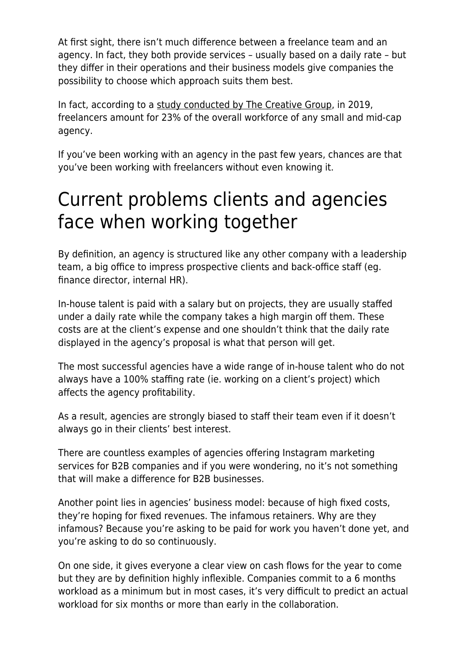At first sight, there isn't much difference between a freelance team and an agency. In fact, they both provide services – usually based on a daily rate – but they differ in their operations and their business models give companies the possibility to choose which approach suits them best.

In fact, according to a [study conducted by The Creative Group](https://digiday.com/marketing/confessions-advertising-freelancer-brands-overall-lack-clarity/), in 2019, freelancers amount for 23% of the overall workforce of any small and mid-cap agency.

If you've been working with an agency in the past few years, chances are that you've been working with freelancers without even knowing it.

## Current problems clients and agencies face when working together

By definition, an agency is structured like any other company with a leadership team, a big office to impress prospective clients and back-office staff (eg. finance director, internal HR).

In-house talent is paid with a salary but on projects, they are usually staffed under a daily rate while the company takes a high margin off them. These costs are at the client's expense and one shouldn't think that the daily rate displayed in the agency's proposal is what that person will get.

The most successful agencies have a wide range of in-house talent who do not always have a 100% staffing rate (ie. working on a client's project) which affects the agency profitability.

As a result, agencies are strongly biased to staff their team even if it doesn't always go in their clients' best interest.

There are countless examples of agencies offering Instagram marketing services for B2B companies and if you were wondering, no it's not something that will make a difference for B2B businesses.

Another point lies in agencies' business model: because of high fixed costs, they're hoping for fixed revenues. The infamous retainers. Why are they infamous? Because you're asking to be paid for work you haven't done yet, and you're asking to do so continuously.

On one side, it gives everyone a clear view on cash flows for the year to come but they are by definition highly inflexible. Companies commit to a 6 months workload as a minimum but in most cases, it's very difficult to predict an actual workload for six months or more than early in the collaboration.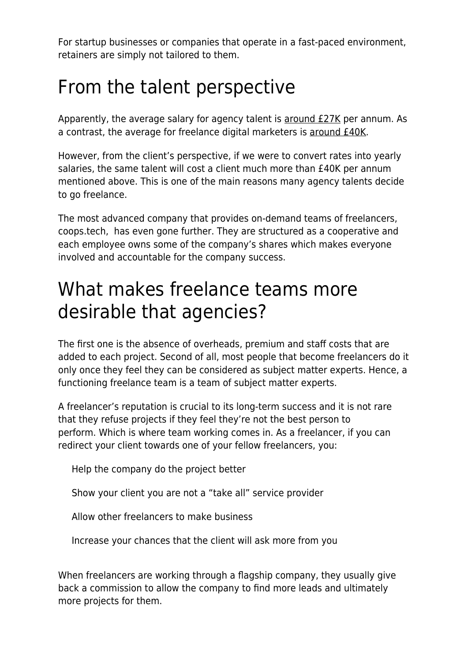For startup businesses or companies that operate in a fast-paced environment, retainers are simply not tailored to them.

## From the talent perspective

Apparently, the average salary for agency talent is [around £27K](https://www.payscale.com/research/UK/Industry=Marketing_Agency/Salary) per annum. As a contrast, the average for freelance digital marketers is [around £40K.](https://digitalmarketinginstitute.com/en-gb/blog/how-much-can-a-freelance-digital-marketer-make)

However, from the client's perspective, if we were to convert rates into yearly salaries, the same talent will cost a client much more than £40K per annum mentioned above. This is one of the main reasons many agency talents decide to go freelance.

The most advanced company that provides on-demand teams of freelancers, coops.tech, has even gone further. They are structured as a cooperative and each employee owns some of the company's shares which makes everyone involved and accountable for the company success.

#### What makes freelance teams more desirable that agencies?

The first one is the absence of overheads, premium and staff costs that are added to each project. Second of all, most people that become freelancers do it only once they feel they can be considered as subject matter experts. Hence, a functioning freelance team is a team of subject matter experts.

A freelancer's reputation is crucial to its long-term success and it is not rare that they refuse projects if they feel they're not the best person to perform. Which is where team working comes in. As a freelancer, if you can redirect your client towards one of your fellow freelancers, you:

Help the company do the project better

Show your client you are not a "take all" service provider

Allow other freelancers to make business

Increase your chances that the client will ask more from you

When freelancers are working through a flagship company, they usually give back a commission to allow the company to find more leads and ultimately more projects for them.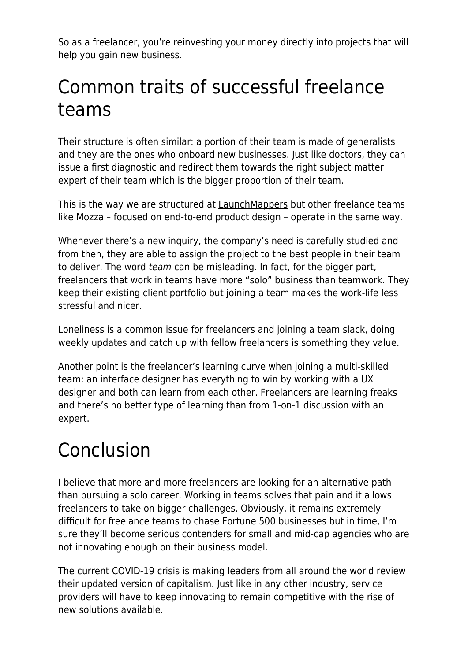So as a freelancer, you're reinvesting your money directly into projects that will help you gain new business.

## Common traits of successful freelance teams

Their structure is often similar: a portion of their team is made of generalists and they are the ones who onboard new businesses. Just like doctors, they can issue a first diagnostic and redirect them towards the right subject matter expert of their team which is the bigger proportion of their team.

This is the way we are structured at [LaunchMappers](https://launchmappers.com/) but other freelance teams like Mozza – focused on end-to-end product design – operate in the same way.

Whenever there's a new inquiry, the company's need is carefully studied and from then, they are able to assign the project to the best people in their team to deliver. The word team can be misleading. In fact, for the bigger part, freelancers that work in teams have more "solo" business than teamwork. They keep their existing client portfolio but joining a team makes the work-life less stressful and nicer.

Loneliness is a common issue for freelancers and joining a team slack, doing weekly updates and catch up with fellow freelancers is something they value.

Another point is the freelancer's learning curve when joining a multi-skilled team: an interface designer has everything to win by working with a UX designer and both can learn from each other. Freelancers are learning freaks and there's no better type of learning than from 1-on-1 discussion with an expert.

## Conclusion

I believe that more and more freelancers are looking for an alternative path than pursuing a solo career. Working in teams solves that pain and it allows freelancers to take on bigger challenges. Obviously, it remains extremely difficult for freelance teams to chase Fortune 500 businesses but in time, I'm sure they'll become serious contenders for small and mid-cap agencies who are not innovating enough on their business model.

The current COVID-19 crisis is making leaders from all around the world review their updated version of capitalism. Just like in any other industry, service providers will have to keep innovating to remain competitive with the rise of new solutions available.